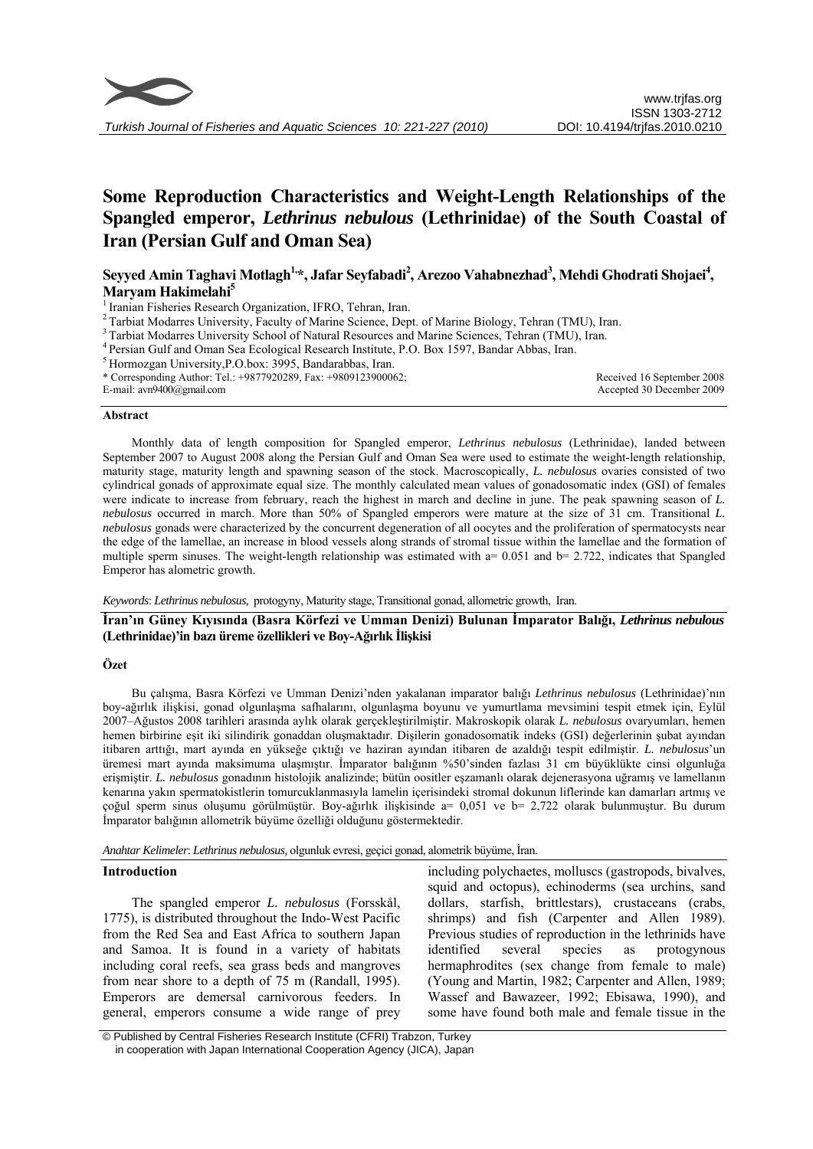

# **Some Reproduction Characteristics and Weight-Length Relationships of the Spangled emperor,** *Lethrinus nebulous* **(Lethrinidae) of the South Coastal of Iran (Persian Gulf and Oman Sea)**

Seyyed Amin Taghavi Motlagh<sup>1,</sup>\*, Jafar Seyfabadi<sup>2</sup>, Arezoo Vahabnezhad<sup>3</sup>, Mehdi Ghodrati Shojaei<sup>4</sup>, **Maryam Hakimelahi5**

<sup>1</sup> Iranian Fisheries Research Organization, IFRO, Tehran, Iran.<br><sup>2</sup> Tarbiat Modarres University, Faculty of Marine Science, Dept. of Marine Biology, Tehran (TMU), Iran.

<sup>3</sup> Tarbiat Modarres University School of Natural Resources and Marine Sciences, Tehran (TMU), Iran.<br><sup>4</sup> Persian Gulf and Oman Sea Ecological Research Institute, P.O. Box 1597, Bandar Abbas, Iran.<br><sup>5</sup> Hormozgan University

\* Corresponding Author: Tel.: +9877920289, Fax: +9809123900062;

E-mail: avn9400@gmail.com

Received 16 September 2008 Accepted 30 December 2009

#### **Abstract**

Monthly data of length composition for Spangled emperor, *Lethrinus nebulosus* (Lethrinidae), landed between September 2007 to August 2008 along the Persian Gulf and Oman Sea were used to estimate the weight-length relationship, maturity stage, maturity length and spawning season of the stock. Macroscopically, *L. nebulosus* ovaries consisted of two cylindrical gonads of approximate equal size. The monthly calculated mean values of gonadosomatic index (GSI) of females were indicate to increase from february, reach the highest in march and decline in june. The peak spawning season of *L. nebulosus* occurred in march. More than 50% of Spangled emperors were mature at the size of 31 cm. Transitional *L. nebulosus* gonads were characterized by the concurrent degeneration of all oocytes and the proliferation of spermatocysts near the edge of the lamellae, an increase in blood vessels along strands of stromal tissue within the lamellae and the formation of multiple sperm sinuses. The weight-length relationship was estimated with  $a= 0.051$  and  $b= 2.722$ , indicates that Spangled Emperor has alometric growth.

*Keywords*: *Lethrinus nebulosus,* protogyny, Maturity stage, Transitional gonad, allometric growth, Iran.

**İran'ın Güney Kıyısında (Basra Körfezi ve Umman Denizi) Bulunan İmparator Balığı,** *Lethrinus nebulous* **(Lethrinidae)'in bazı üreme özellikleri ve Boy-Ağırlık İlişkisi** 

## **Özet**

Bu çalışma, Basra Körfezi ve Umman Denizi'nden yakalanan imparator balığı *Lethrinus nebulosus* (Lethrinidae)'nın boy-ağırlık ilişkisi, gonad olgunlaşma safhalarını, olgunlaşma boyunu ve yumurtlama mevsimini tespit etmek için, Eylül 2007–Ağustos 2008 tarihleri arasında aylık olarak gerçekleştirilmiştir. Makroskopik olarak *L. nebulosus* ovaryumları, hemen hemen birbirine eşit iki silindirik gonaddan oluşmaktadır. Dişilerin gonadosomatik indeks (GSI) değerlerinin şubat ayından itibaren arttığı, mart ayında en yükseğe çıktığı ve haziran ayından itibaren de azaldığı tespit edilmiştir. *L. nebulosus*'un üremesi mart ayında maksimuma ulaşmıştır. İmparator balığının %50'sinden fazlası 31 cm büyüklükte cinsi olgunluğa erişmiştir. *L. nebulosus* gonadının histolojik analizinde; bütün oositler eşzamanlı olarak dejenerasyona uğramış ve lamellanın kenarına yakın spermatokistlerin tomurcuklanmasıyla lamelin içerisindeki stromal dokunun liflerinde kan damarları artmış ve çoğul sperm sinus oluşumu görülmüştür. Boy-ağırlık ilişkisinde a= 0,051 ve b= 2,722 olarak bulunmuştur. Bu durum İmparator balığının allometrik büyüme özelliği olduğunu göstermektedir.

*Anahtar Kelimeler*: *Lethrinus nebulosus,* olgunluk evresi, geçici gonad, alometrik büyüme, İran.

#### **Introduction**

The spangled emperor *L. nebulosus* (Forsskål, 1775), is distributed throughout the Indo-West Pacific from the Red Sea and East Africa to southern Japan and Samoa. It is found in a variety of habitats including coral reefs, sea grass beds and mangroves from near shore to a depth of 75 m (Randall, 1995). Emperors are demersal carnivorous feeders. In general, emperors consume a wide range of prey

including polychaetes, molluscs (gastropods, bivalves, squid and octopus), echinoderms (sea urchins, sand dollars, starfish, brittlestars), crustaceans (crabs, shrimps) and fish (Carpenter and Allen 1989). Previous studies of reproduction in the lethrinids have identified several species as protogynous hermaphrodites (sex change from female to male) (Young and Martin, 1982; Carpenter and Allen, 1989; Wassef and Bawazeer, 1992; Ebisawa, 1990), and some have found both male and female tissue in the

 © Published by Central Fisheries Research Institute (CFRI) Trabzon, Turkey in cooperation with Japan International Cooperation Agency (JICA), Japan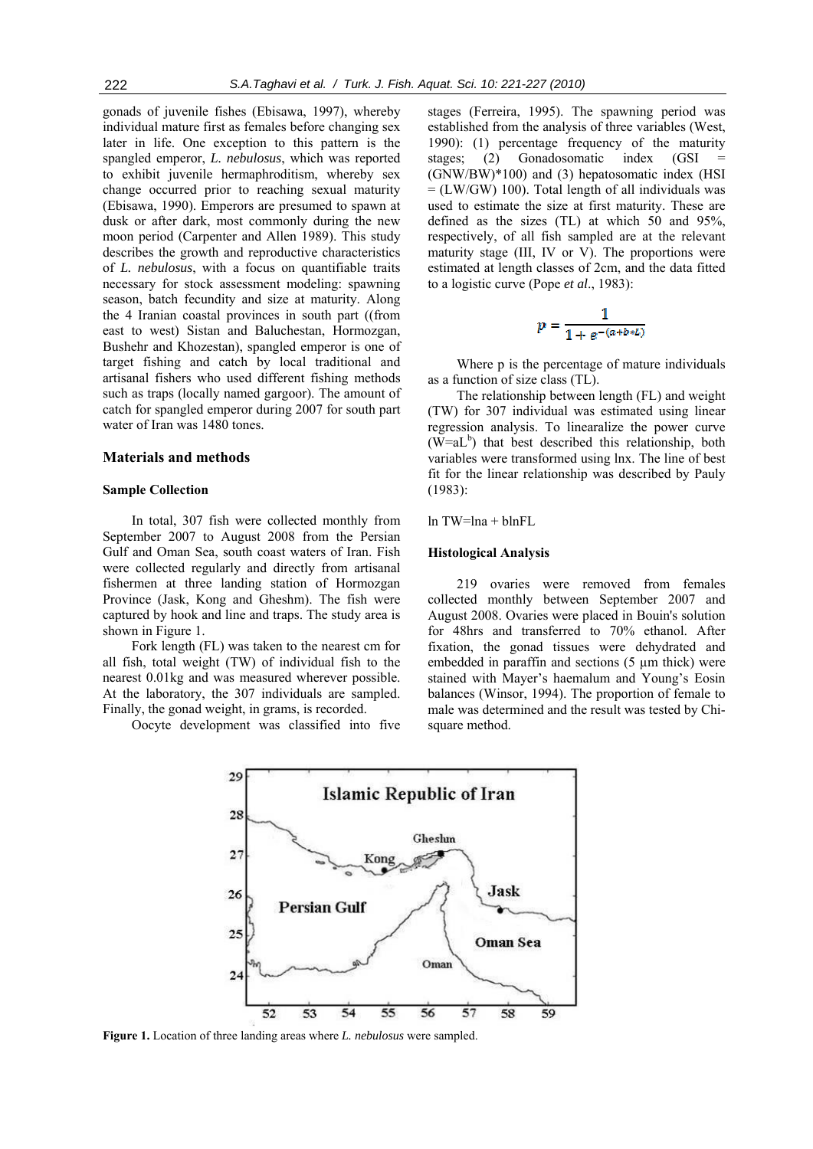gonads of juvenile fishes (Ebisawa, 1997), whereby individual mature first as females before changing sex later in life. One exception to this pattern is the spangled emperor, *L. nebulosus*, which was reported to exhibit juvenile hermaphroditism, whereby sex change occurred prior to reaching sexual maturity (Ebisawa, 1990). Emperors are presumed to spawn at dusk or after dark, most commonly during the new moon period (Carpenter and Allen 1989). This study describes the growth and reproductive characteristics of *L. nebulosus*, with a focus on quantifiable traits necessary for stock assessment modeling: spawning season, batch fecundity and size at maturity. Along the 4 Iranian coastal provinces in south part ((from east to west) Sistan and Baluchestan, Hormozgan, Bushehr and Khozestan), spangled emperor is one of target fishing and catch by local traditional and artisanal fishers who used different fishing methods such as traps (locally named gargoor). The amount of catch for spangled emperor during 2007 for south part water of Iran was 1480 tones.

#### **Materials and methods**

## **Sample Collection**

In total, 307 fish were collected monthly from September 2007 to August 2008 from the Persian Gulf and Oman Sea, south coast waters of Iran. Fish were collected regularly and directly from artisanal fishermen at three landing station of Hormozgan Province (Jask, Kong and Gheshm). The fish were captured by hook and line and traps. The study area is shown in Figure 1.

Fork length (FL) was taken to the nearest cm for all fish, total weight (TW) of individual fish to the nearest 0.01kg and was measured wherever possible. At the laboratory, the 307 individuals are sampled. Finally, the gonad weight, in grams, is recorded.

Oocyte development was classified into five

stages (Ferreira, 1995). The spawning period was established from the analysis of three variables (West, 1990): (1) percentage frequency of the maturity stages; (2) Gonadosomatic index (GSI (GNW/BW)\*100) and (3) hepatosomatic index (HSI  $=$  (LW/GW) 100). Total length of all individuals was used to estimate the size at first maturity. These are defined as the sizes (TL) at which 50 and 95%, respectively, of all fish sampled are at the relevant maturity stage (III, IV or V). The proportions were estimated at length classes of 2cm, and the data fitted to a logistic curve (Pope *et al*., 1983):

$$
p = \frac{1}{1 + e^{-(a+b*t)}}
$$

Where p is the percentage of mature individuals as a function of size class (TL).

The relationship between length (FL) and weight (TW) for 307 individual was estimated using linear regression analysis. To linearalize the power curve  $(W=aL<sup>b</sup>)$  that best described this relationship, both variables were transformed using lnx. The line of best fit for the linear relationship was described by Pauly (1983):

 $ln TW=lna + blnFL$ 

#### **Histological Analysis**

219 ovaries were removed from females collected monthly between September 2007 and August 2008. Ovaries were placed in Bouin's solution for 48hrs and transferred to 70% ethanol. After fixation, the gonad tissues were dehydrated and embedded in paraffin and sections (5  $\mu$ m thick) were stained with Mayer's haemalum and Young's Eosin balances (Winsor, 1994). The proportion of female to male was determined and the result was tested by Chisquare method.



**Figure 1.** Location of three landing areas where *L. nebulosus* were sampled.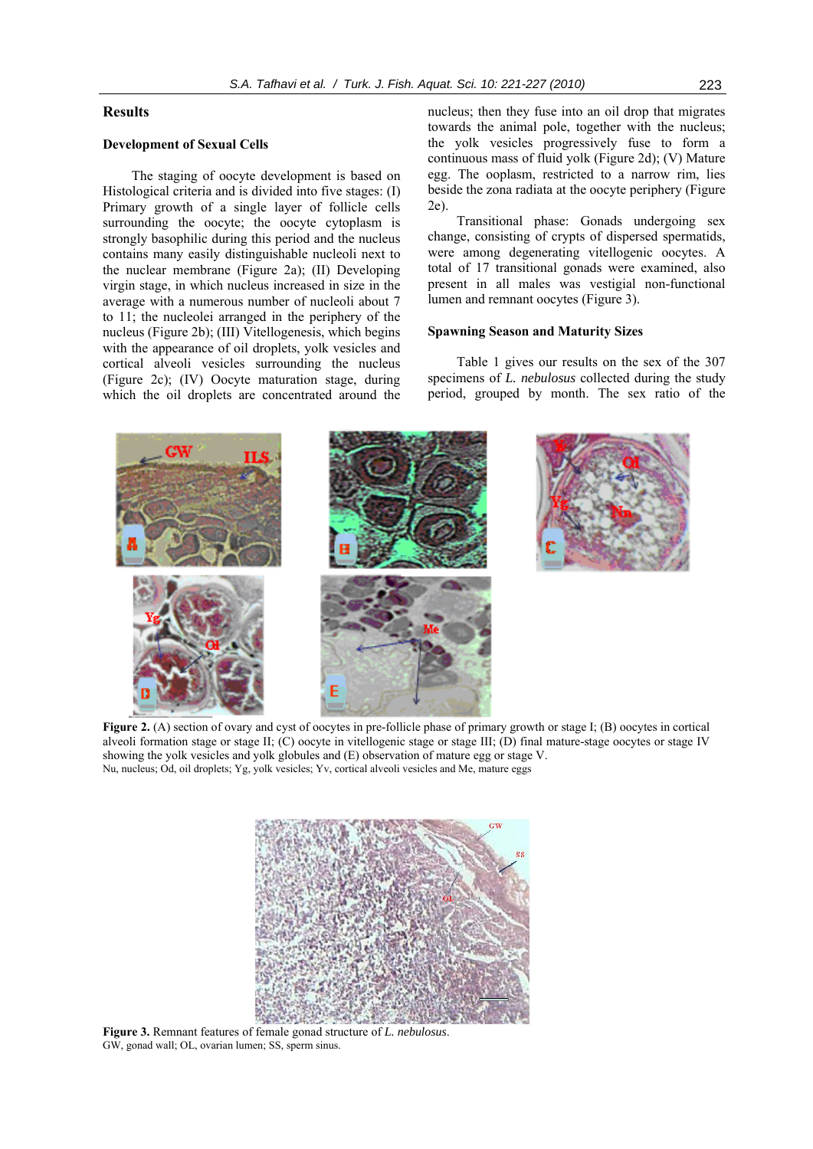# **Results**

# **Development of Sexual Cells**

The staging of oocyte development is based on Histological criteria and is divided into five stages: (I) Primary growth of a single layer of follicle cells surrounding the oocyte; the oocyte cytoplasm is strongly basophilic during this period and the nucleus contains many easily distinguishable nucleoli next to the nuclear membrane (Figure 2a); (II) Developing virgin stage, in which nucleus increased in size in the average with a numerous number of nucleoli about 7 to 11; the nucleolei arranged in the periphery of the nucleus (Figure 2b); (III) Vitellogenesis, which begins with the appearance of oil droplets, yolk vesicles and cortical alveoli vesicles surrounding the nucleus (Figure 2c); (IV) Oocyte maturation stage, during which the oil droplets are concentrated around the

nucleus; then they fuse into an oil drop that migrates towards the animal pole, together with the nucleus; the yolk vesicles progressively fuse to form a continuous mass of fluid yolk (Figure 2d); (V) Mature egg. The ooplasm, restricted to a narrow rim, lies beside the zona radiata at the oocyte periphery (Figure 2e).

Transitional phase: Gonads undergoing sex change, consisting of crypts of dispersed spermatids, were among degenerating vitellogenic oocytes. A total of 17 transitional gonads were examined, also present in all males was vestigial non-functional lumen and remnant oocytes (Figure 3).

## **Spawning Season and Maturity Sizes**

Table 1 gives our results on the sex of the 307 specimens of *L. nebulosus* collected during the study period, grouped by month. The sex ratio of the



**Figure 2.** (A) section of ovary and cyst of oocytes in pre-follicle phase of primary growth or stage I; (B) oocytes in cortical alveoli formation stage or stage II; (C) oocyte in vitellogenic stage or stage III; (D) final mature-stage oocytes or stage IV showing the yolk vesicles and yolk globules and (E) observation of mature egg or stage V. Nu, nucleus; Od, oil droplets; Yg, yolk vesicles; Yv, cortical alveoli vesicles and Me, mature eggs



**Figure 3.** Remnant features of female gonad structure of *L. nebulosus*. GW, gonad wall; OL, ovarian lumen; SS, sperm sinus.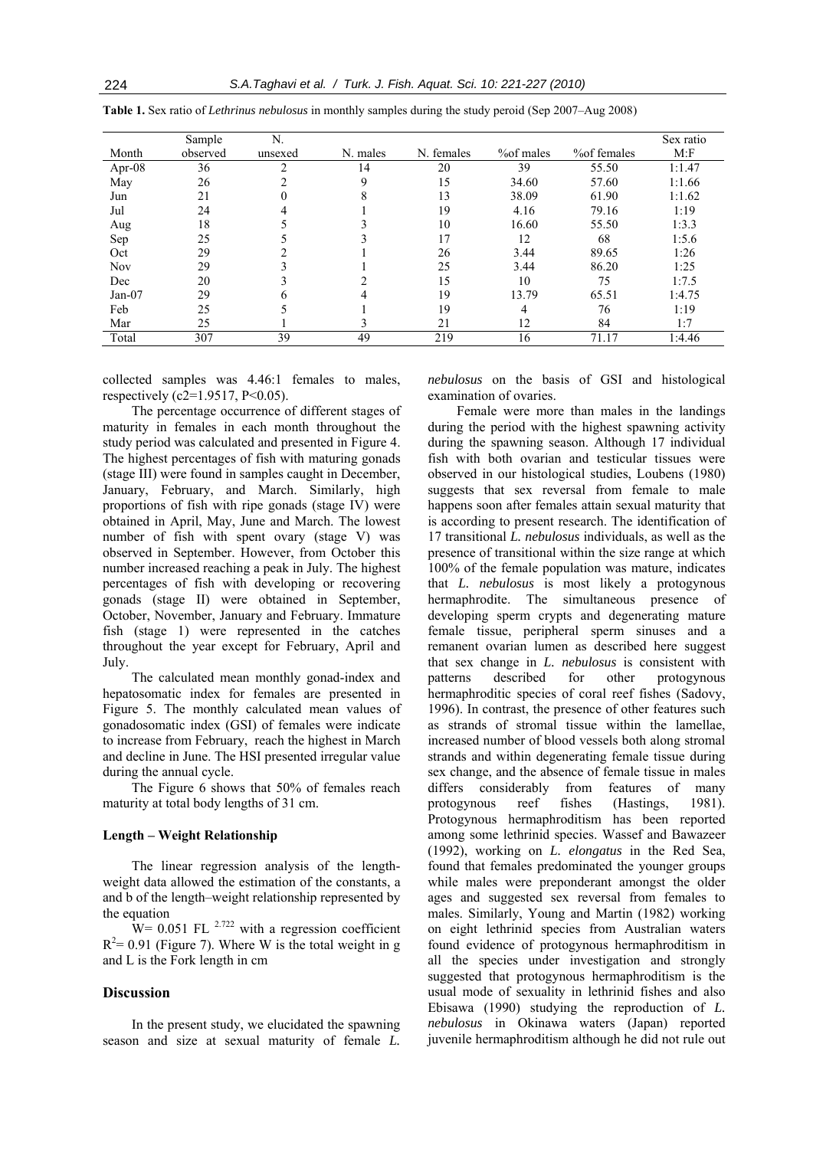|            | Sample   | N.      |          |            |            |              | Sex ratio |
|------------|----------|---------|----------|------------|------------|--------------|-----------|
| Month      | observed | unsexed | N. males | N. females | % of males | % of females | M: F      |
| Apr- $08$  | 36       |         | 14       | 20         | 39         | 55.50        | 1:1.47    |
| May        | 26       |         | Q        | 15         | 34.60      | 57.60        | 1:1.66    |
| Jun        | 21       |         | 8        | 13         | 38.09      | 61.90        | 1:1.62    |
| Jul        | 24       |         |          | 19         | 4.16       | 79.16        | 1:19      |
| Aug        | 18       |         |          | 10         | 16.60      | 55.50        | 1:3.3     |
| Sep        | 25       |         |          | 17         | 12         | 68           | 1:5.6     |
| Oct        | 29       |         |          | 26         | 3.44       | 89.65        | 1:26      |
| <b>Nov</b> | 29       |         |          | 25         | 3.44       | 86.20        | 1:25      |
| Dec        | 20       |         |          | 15         | 10         | 75           | 1:7.5     |
| $Jan-07$   | 29       | h.      | 4        | 19         | 13.79      | 65.51        | 1:4.75    |
| Feb        | 25       |         |          | 19         | 4          | 76           | 1:19      |
| Mar        | 25       |         |          | 21         | 12         | 84           | 1:7       |
| Total      | 307      | 39      | 49       | 219        | 16         | 71.17        | 1:4.46    |

**Table 1.** Sex ratio of *Lethrinus nebulosus* in monthly samples during the study peroid (Sep 2007–Aug 2008)

collected samples was 4.46:1 females to males, respectively (c2=1.9517,  $P<0.05$ ).

The percentage occurrence of different stages of maturity in females in each month throughout the study period was calculated and presented in Figure 4. The highest percentages of fish with maturing gonads (stage III) were found in samples caught in December, January, February, and March. Similarly, high proportions of fish with ripe gonads (stage IV) were obtained in April, May, June and March. The lowest number of fish with spent ovary (stage V) was observed in September. However, from October this number increased reaching a peak in July. The highest percentages of fish with developing or recovering gonads (stage II) were obtained in September, October, November, January and February. Immature fish (stage 1) were represented in the catches throughout the year except for February, April and July.

The calculated mean monthly gonad-index and hepatosomatic index for females are presented in Figure 5. The monthly calculated mean values of gonadosomatic index (GSI) of females were indicate to increase from February, reach the highest in March and decline in June. The HSI presented irregular value during the annual cycle.

The Figure 6 shows that 50% of females reach maturity at total body lengths of 31 cm.

## **Length – Weight Relationship**

The linear regression analysis of the lengthweight data allowed the estimation of the constants, a and b of the length–weight relationship represented by the equation

 $W = 0.051$  FL <sup>2.722</sup> with a regression coefficient  $R<sup>2</sup>= 0.91$  (Figure 7). Where W is the total weight in g and L is the Fork length in cm

# **Discussion**

In the present study, we elucidated the spawning season and size at sexual maturity of female *L.* 

*nebulosus* on the basis of GSI and histological examination of ovaries.

Female were more than males in the landings during the period with the highest spawning activity during the spawning season. Although 17 individual fish with both ovarian and testicular tissues were observed in our histological studies, Loubens (1980) suggests that sex reversal from female to male happens soon after females attain sexual maturity that is according to present research. The identification of 17 transitional *L. nebulosus* individuals, as well as the presence of transitional within the size range at which 100% of the female population was mature, indicates that *L. nebulosus* is most likely a protogynous hermaphrodite. The simultaneous presence of developing sperm crypts and degenerating mature female tissue, peripheral sperm sinuses and a remanent ovarian lumen as described here suggest that sex change in *L. nebulosus* is consistent with patterns described for other protogynous hermaphroditic species of coral reef fishes (Sadovy, 1996). In contrast, the presence of other features such as strands of stromal tissue within the lamellae, increased number of blood vessels both along stromal strands and within degenerating female tissue during sex change, and the absence of female tissue in males differs considerably from features of many protogynous reef fishes (Hastings, 1981). Protogynous hermaphroditism has been reported among some lethrinid species. Wassef and Bawazeer (1992), working on *L. elongatus* in the Red Sea, found that females predominated the younger groups while males were preponderant amongst the older ages and suggested sex reversal from females to males. Similarly, Young and Martin (1982) working on eight lethrinid species from Australian waters found evidence of protogynous hermaphroditism in all the species under investigation and strongly suggested that protogynous hermaphroditism is the usual mode of sexuality in lethrinid fishes and also Ebisawa (1990) studying the reproduction of *L. nebulosus* in Okinawa waters (Japan) reported juvenile hermaphroditism although he did not rule out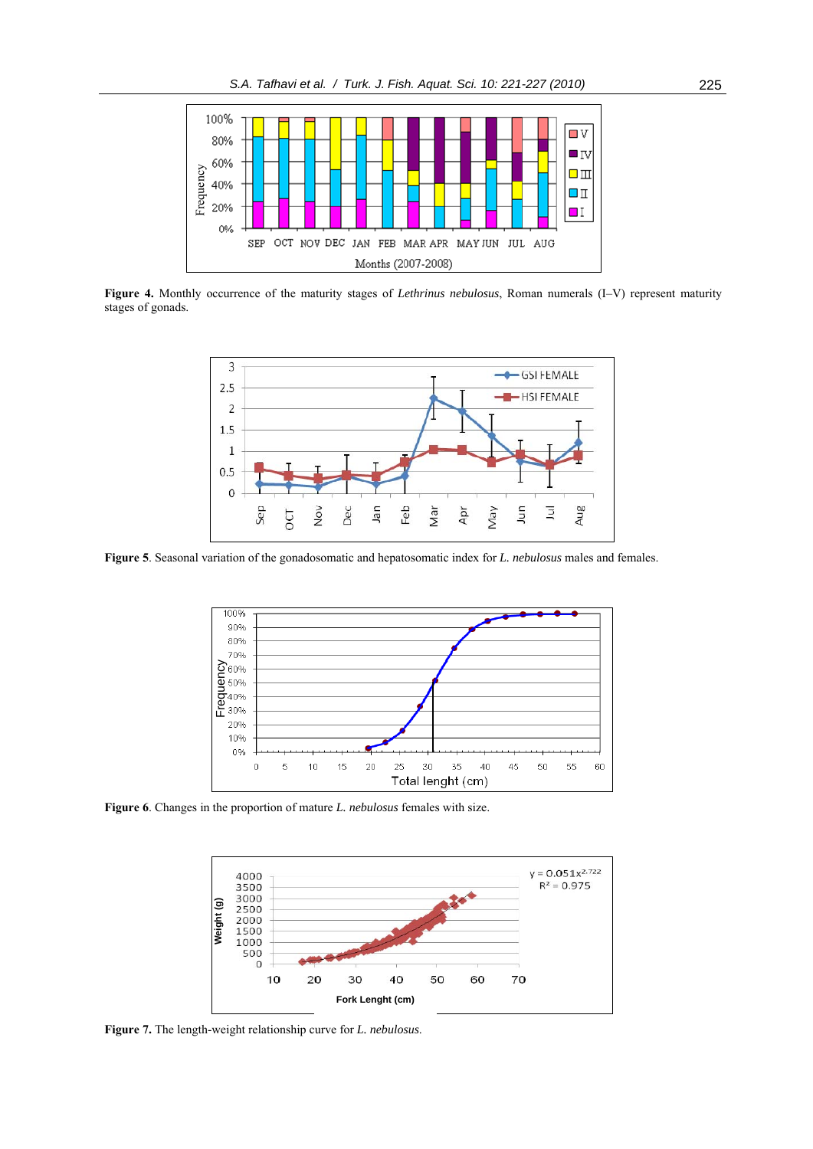

**Figure 4.** Monthly occurrence of the maturity stages of *Lethrinus nebulosus*, Roman numerals (I–V) represent maturity stages of gonads.



**Figure 5**. Seasonal variation of the gonadosomatic and hepatosomatic index for *L. nebulosus* males and females.



**Figure 6**. Changes in the proportion of mature *L. nebulosus* females with size.

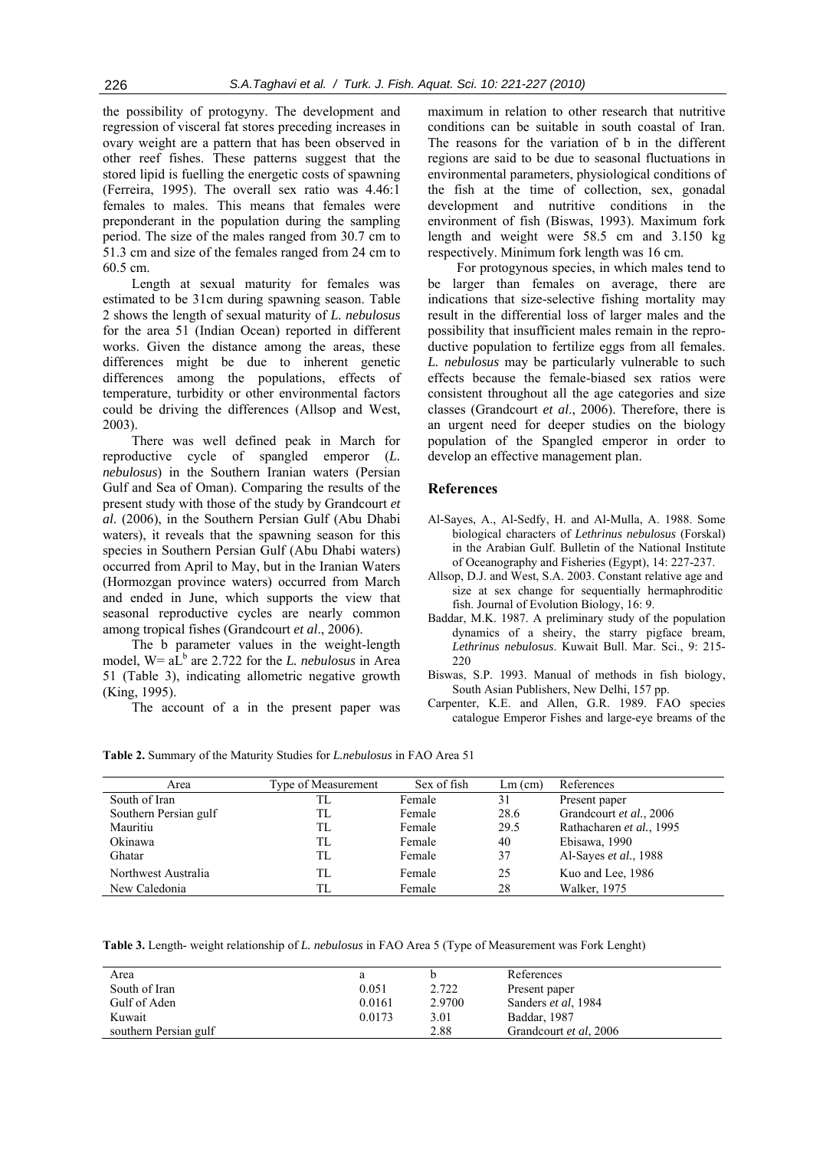the possibility of protogyny. The development and regression of visceral fat stores preceding increases in ovary weight are a pattern that has been observed in other reef fishes. These patterns suggest that the stored lipid is fuelling the energetic costs of spawning (Ferreira, 1995). The overall sex ratio was 4.46:1 females to males. This means that females were preponderant in the population during the sampling period. The size of the males ranged from 30.7 cm to 51.3 cm and size of the females ranged from 24 cm to 60.5 cm.

Length at sexual maturity for females was estimated to be 31cm during spawning season. Table 2 shows the length of sexual maturity of *L. nebulosus*  for the area 51 (Indian Ocean) reported in different works. Given the distance among the areas, these differences might be due to inherent genetic differences among the populations, effects of temperature, turbidity or other environmental factors could be driving the differences (Allsop and West, 2003).

There was well defined peak in March for reproductive cycle of spangled emperor (*L. nebulosus*) in the Southern Iranian waters (Persian Gulf and Sea of Oman). Comparing the results of the present study with those of the study by Grandcourt *et al*. (2006), in the Southern Persian Gulf (Abu Dhabi waters), it reveals that the spawning season for this species in Southern Persian Gulf (Abu Dhabi waters) occurred from April to May, but in the Iranian Waters (Hormozgan province waters) occurred from March and ended in June, which supports the view that seasonal reproductive cycles are nearly common among tropical fishes (Grandcourt *et al*., 2006).

The b parameter values in the weight-length model,  $W = a\overline{L}^b$  are 2.722 for the *L. nebulosus* in Area 51 (Table 3), indicating allometric negative growth (King, 1995).

The account of a in the present paper was

maximum in relation to other research that nutritive conditions can be suitable in south coastal of Iran. The reasons for the variation of b in the different regions are said to be due to seasonal fluctuations in environmental parameters, physiological conditions of the fish at the time of collection, sex, gonadal development and nutritive conditions in the environment of fish (Biswas, 1993). Maximum fork length and weight were 58.5 cm and 3.150 kg respectively. Minimum fork length was 16 cm.

For protogynous species, in which males tend to be larger than females on average, there are indications that size-selective fishing mortality may result in the differential loss of larger males and the possibility that insufficient males remain in the reproductive population to fertilize eggs from all females. *L. nebulosus* may be particularly vulnerable to such effects because the female-biased sex ratios were consistent throughout all the age categories and size classes (Grandcourt *et al*., 2006). Therefore, there is an urgent need for deeper studies on the biology population of the Spangled emperor in order to develop an effective management plan.

# **References**

- Al-Sayes, A., Al-Sedfy, H. and Al-Mulla, A. 1988. Some biological characters of *Lethrinus nebulosus* (Forskal) in the Arabian Gulf. Bulletin of the National Institute of Oceanography and Fisheries (Egypt), 14: 227-237.
- Allsop, D.J. and West, S.A. 2003. Constant relative age and size at sex change for sequentially hermaphroditic fish. Journal of Evolution Biology, 16: 9.
- Baddar, M.K. 1987. A preliminary study of the population dynamics of a sheiry, the starry pigface bream, *Lethrinus nebulosus*. Kuwait Bull. Mar. Sci., 9: 215- 220
- Biswas, S.P. 1993. Manual of methods in fish biology, South Asian Publishers, New Delhi, 157 pp.
- Carpenter, K.E. and Allen, G.R. 1989. FAO species catalogue Emperor Fishes and large-eye breams of the

**Table 2.** Summary of the Maturity Studies for *L.nebulosus* in FAO Area 51

| Area                  | Type of Measurement | Sex of fish | $Lm$ (cm) | References               |
|-----------------------|---------------------|-------------|-----------|--------------------------|
| South of Iran         | TL                  | Female      | 31        | Present paper            |
| Southern Persian gulf | TL                  | Female      | 28.6      | Grandcourt et al., 2006  |
| Mauritiu              | TL                  | Female      | 29.5      | Rathacharen et al., 1995 |
| Okinawa               | TL                  | Female      | 40        | Ebisawa, 1990            |
| Ghatar                | TL.                 | Female      | 37        | Al-Sayes et al., 1988    |
| Northwest Australia   | TL                  | Female      | 25        | Kuo and Lee, 1986        |
| New Caledonia         | TL                  | Female      | 28        | Walker, 1975             |

**Table 3.** Length- weight relationship of *L. nebulosus* in FAO Area 5 (Type of Measurement was Fork Lenght)

| Area                  |        |        | References             |
|-----------------------|--------|--------|------------------------|
| South of Iran         | 0.051  | 2.722  | Present paper          |
| Gulf of Aden          | 0.0161 | 2.9700 | Sanders et al. 1984    |
| Kuwait                | 0.0173 | 3.01   | Baddar, 1987           |
| southern Persian gulf |        | 2.88   | Grandcourt et al. 2006 |